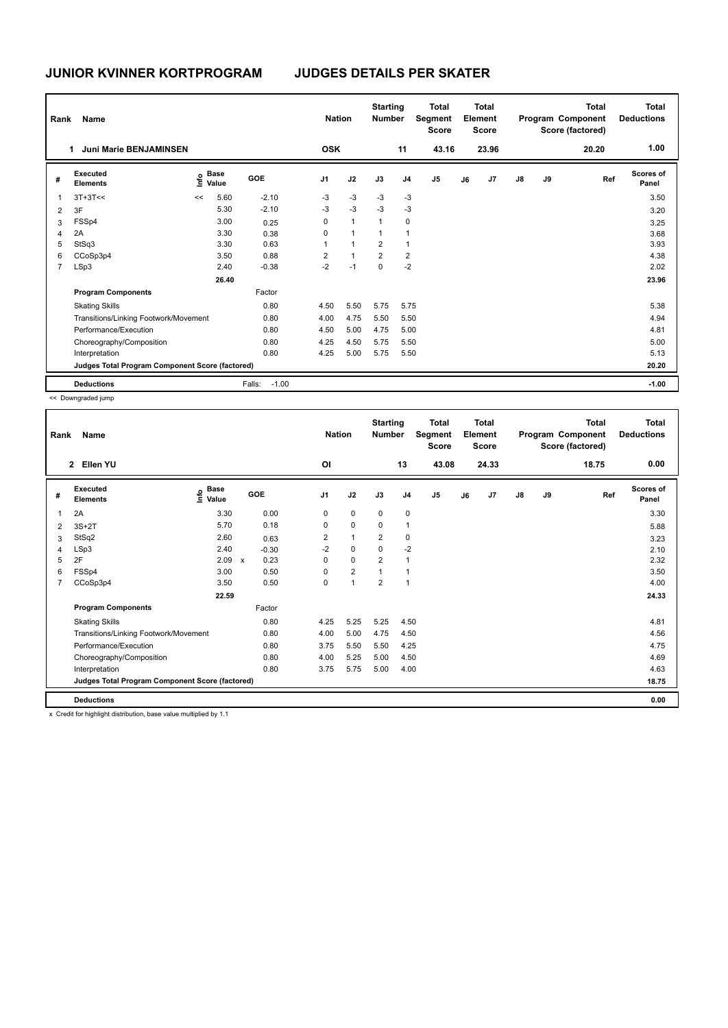| Rank           | Name                                            |      |                      |                   | <b>Nation</b>  |                | <b>Starting</b><br><b>Number</b> |                | <b>Total</b><br>Segment<br><b>Score</b> |    | <b>Total</b><br>Element<br><b>Score</b> |               |    | <b>Total</b><br>Program Component<br>Score (factored) | <b>Total</b><br><b>Deductions</b> |
|----------------|-------------------------------------------------|------|----------------------|-------------------|----------------|----------------|----------------------------------|----------------|-----------------------------------------|----|-----------------------------------------|---------------|----|-------------------------------------------------------|-----------------------------------|
|                | <b>Juni Marie BENJAMINSEN</b><br>1              |      |                      |                   | <b>OSK</b>     |                |                                  | 11             | 43.16                                   |    | 23.96                                   |               |    | 20.20                                                 | 1.00                              |
| #              | Executed<br><b>Elements</b>                     | lnfo | <b>Base</b><br>Value | GOE               | J <sub>1</sub> | J2             | J3                               | J <sub>4</sub> | J <sub>5</sub>                          | J6 | J7                                      | $\mathsf{J}8$ | J9 | Ref                                                   | <b>Scores of</b><br>Panel         |
|                | $3T+3T<<$                                       | <<   | 5.60                 | $-2.10$           | $-3$           | $-3$           | $-3$                             | $-3$           |                                         |    |                                         |               |    |                                                       | 3.50                              |
| 2              | 3F                                              |      | 5.30                 | $-2.10$           | $-3$           | $-3$           | $-3$                             | $-3$           |                                         |    |                                         |               |    |                                                       | 3.20                              |
| 3              | FSSp4                                           |      | 3.00                 | 0.25              | 0              | $\mathbf{1}$   | 1                                | 0              |                                         |    |                                         |               |    |                                                       | 3.25                              |
| 4              | 2A                                              |      | 3.30                 | 0.38              | 0              | $\mathbf{1}$   | 1                                | $\overline{1}$ |                                         |    |                                         |               |    |                                                       | 3.68                              |
| 5              | StSq3                                           |      | 3.30                 | 0.63              | 1              | $\mathbf{1}$   | $\overline{2}$                   | 1              |                                         |    |                                         |               |    |                                                       | 3.93                              |
| 6              | CCoSp3p4                                        |      | 3.50                 | 0.88              | 2              | $\overline{1}$ | $\overline{2}$                   | $\overline{2}$ |                                         |    |                                         |               |    |                                                       | 4.38                              |
| $\overline{7}$ | LSp3                                            |      | 2.40                 | $-0.38$           | $-2$           | $-1$           | $\mathbf 0$                      | $-2$           |                                         |    |                                         |               |    |                                                       | 2.02                              |
|                |                                                 |      | 26.40                |                   |                |                |                                  |                |                                         |    |                                         |               |    |                                                       | 23.96                             |
|                | <b>Program Components</b>                       |      |                      | Factor            |                |                |                                  |                |                                         |    |                                         |               |    |                                                       |                                   |
|                | <b>Skating Skills</b>                           |      |                      | 0.80              | 4.50           | 5.50           | 5.75                             | 5.75           |                                         |    |                                         |               |    |                                                       | 5.38                              |
|                | Transitions/Linking Footwork/Movement           |      |                      | 0.80              | 4.00           | 4.75           | 5.50                             | 5.50           |                                         |    |                                         |               |    |                                                       | 4.94                              |
|                | Performance/Execution                           |      |                      | 0.80              | 4.50           | 5.00           | 4.75                             | 5.00           |                                         |    |                                         |               |    |                                                       | 4.81                              |
|                | Choreography/Composition                        |      |                      | 0.80              | 4.25           | 4.50           | 5.75                             | 5.50           |                                         |    |                                         |               |    |                                                       | 5.00                              |
|                | Interpretation                                  |      |                      | 0.80              | 4.25           | 5.00           | 5.75                             | 5.50           |                                         |    |                                         |               |    |                                                       | 5.13                              |
|                | Judges Total Program Component Score (factored) |      |                      |                   |                |                |                                  |                |                                         |    |                                         |               |    |                                                       | 20.20                             |
|                | <b>Deductions</b>                               |      |                      | $-1.00$<br>Falls: |                |                |                                  |                |                                         |    |                                         |               |    |                                                       | $-1.00$                           |

<< Downgraded jump

| Rank | Name                                            |                                  |                                   | <b>Nation</b>           |                | <b>Starting</b><br><b>Number</b> |                | <b>Total</b><br>Segment<br><b>Score</b> |    | <b>Total</b><br>Element<br><b>Score</b> |               |    | <b>Total</b><br>Program Component<br>Score (factored) | <b>Total</b><br><b>Deductions</b> |
|------|-------------------------------------------------|----------------------------------|-----------------------------------|-------------------------|----------------|----------------------------------|----------------|-----------------------------------------|----|-----------------------------------------|---------------|----|-------------------------------------------------------|-----------------------------------|
|      | Ellen YU<br>$\overline{2}$                      |                                  |                                   | OI                      |                |                                  | 13             | 43.08                                   |    | 24.33                                   |               |    | 18.75                                                 | 0.00                              |
| #    | <b>Executed</b><br><b>Elements</b>              | <b>Base</b><br>e Base<br>⊆ Value | <b>GOE</b>                        | J <sub>1</sub>          | J2             | J3                               | J <sub>4</sub> | J <sub>5</sub>                          | J6 | J7                                      | $\mathsf{J}8$ | J9 | Ref                                                   | Scores of<br>Panel                |
| 1    | 2A                                              | 3.30                             | 0.00                              | 0                       | $\mathbf 0$    | $\mathbf 0$                      | $\pmb{0}$      |                                         |    |                                         |               |    |                                                       | 3.30                              |
| 2    | $3S+2T$                                         | 5.70                             | 0.18                              | 0                       | $\mathbf 0$    | 0                                | $\mathbf{1}$   |                                         |    |                                         |               |    |                                                       | 5.88                              |
| 3    | StSq2                                           | 2.60                             | 0.63                              | $\overline{\mathbf{c}}$ | $\mathbf{1}$   | $\overline{2}$                   | 0              |                                         |    |                                         |               |    |                                                       | 3.23                              |
| 4    | LSp3                                            | 2.40                             | $-0.30$                           | $-2$                    | $\mathbf 0$    | 0                                | $-2$           |                                         |    |                                         |               |    |                                                       | 2.10                              |
| 5    | 2F                                              | 2.09                             | 0.23<br>$\boldsymbol{\mathsf{x}}$ | 0                       | $\mathbf 0$    | $\overline{2}$                   | $\mathbf{1}$   |                                         |    |                                         |               |    |                                                       | 2.32                              |
| 6    | FSSp4                                           | 3.00                             | 0.50                              | 0                       | $\overline{2}$ |                                  | $\overline{1}$ |                                         |    |                                         |               |    |                                                       | 3.50                              |
| 7    | CCoSp3p4                                        | 3.50                             | 0.50                              | 0                       | $\mathbf{1}$   | $\overline{2}$                   | $\mathbf{1}$   |                                         |    |                                         |               |    |                                                       | 4.00                              |
|      |                                                 | 22.59                            |                                   |                         |                |                                  |                |                                         |    |                                         |               |    |                                                       | 24.33                             |
|      | <b>Program Components</b>                       |                                  | Factor                            |                         |                |                                  |                |                                         |    |                                         |               |    |                                                       |                                   |
|      | <b>Skating Skills</b>                           |                                  | 0.80                              | 4.25                    | 5.25           | 5.25                             | 4.50           |                                         |    |                                         |               |    |                                                       | 4.81                              |
|      | Transitions/Linking Footwork/Movement           |                                  | 0.80                              | 4.00                    | 5.00           | 4.75                             | 4.50           |                                         |    |                                         |               |    |                                                       | 4.56                              |
|      | Performance/Execution                           |                                  | 0.80                              | 3.75                    | 5.50           | 5.50                             | 4.25           |                                         |    |                                         |               |    |                                                       | 4.75                              |
|      | Choreography/Composition                        |                                  | 0.80                              | 4.00                    | 5.25           | 5.00                             | 4.50           |                                         |    |                                         |               |    |                                                       | 4.69                              |
|      | Interpretation                                  |                                  | 0.80                              | 3.75                    | 5.75           | 5.00                             | 4.00           |                                         |    |                                         |               |    |                                                       | 4.63                              |
|      | Judges Total Program Component Score (factored) |                                  |                                   |                         |                |                                  |                |                                         |    |                                         |               |    |                                                       | 18.75                             |
|      | <b>Deductions</b>                               |                                  |                                   |                         |                |                                  |                |                                         |    |                                         |               |    |                                                       | 0.00                              |

x Credit for highlight distribution, base value multiplied by 1.1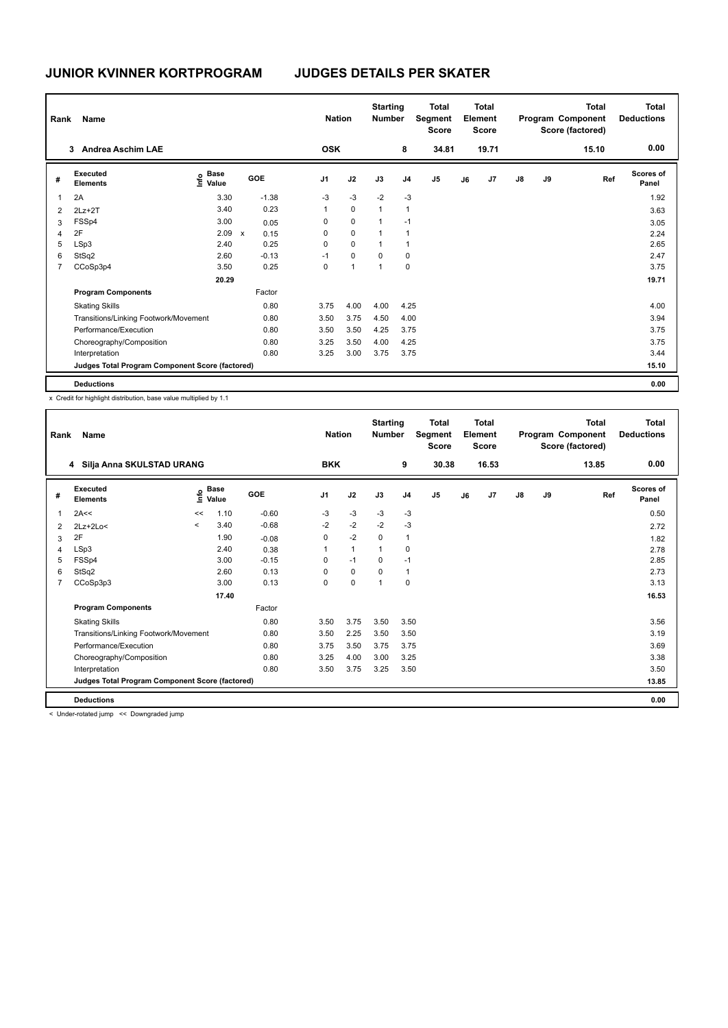| Rank | Name                                            |                              |                      |                | <b>Nation</b>  | <b>Starting</b><br><b>Number</b> |                | <b>Total</b><br>Segment<br><b>Score</b> |    | <b>Total</b><br>Element<br><b>Score</b> |               |    | Total<br>Program Component<br>Score (factored) | <b>Total</b><br><b>Deductions</b> |
|------|-------------------------------------------------|------------------------------|----------------------|----------------|----------------|----------------------------------|----------------|-----------------------------------------|----|-----------------------------------------|---------------|----|------------------------------------------------|-----------------------------------|
|      | 3<br><b>Andrea Aschim LAE</b>                   |                              |                      | <b>OSK</b>     |                |                                  | 8              | 34.81                                   |    | 19.71                                   |               |    | 15.10                                          | 0.00                              |
| #    | Executed<br><b>Elements</b>                     | <b>Base</b><br>lnfo<br>Value | GOE                  | J <sub>1</sub> | J2             | J3                               | J <sub>4</sub> | J <sub>5</sub>                          | J6 | J7                                      | $\mathsf{J}8$ | J9 | Ref                                            | <b>Scores of</b><br>Panel         |
|      | 2A                                              | 3.30                         | $-1.38$              | $-3$           | $-3$           | $-2$                             | $-3$           |                                         |    |                                         |               |    |                                                | 1.92                              |
| 2    | $2Lz+2T$                                        | 3.40                         | 0.23                 | 1              | $\mathbf 0$    | $\overline{1}$                   | $\overline{1}$ |                                         |    |                                         |               |    |                                                | 3.63                              |
| 3    | FSSp4                                           | 3.00                         | 0.05                 | 0              | $\mathbf 0$    | 1                                | $-1$           |                                         |    |                                         |               |    |                                                | 3.05                              |
| 4    | 2F                                              | 2.09                         | $\mathsf{x}$<br>0.15 | 0              | $\mathbf 0$    | 1                                | $\overline{1}$ |                                         |    |                                         |               |    |                                                | 2.24                              |
| 5    | LSp3                                            | 2.40                         | 0.25                 | 0              | $\mathbf 0$    | $\overline{1}$                   | $\overline{1}$ |                                         |    |                                         |               |    |                                                | 2.65                              |
| 6    | StSq2                                           | 2.60                         | $-0.13$              | $-1$           | $\mathbf 0$    | $\mathbf 0$                      | 0              |                                         |    |                                         |               |    |                                                | 2.47                              |
|      | CCoSp3p4                                        | 3.50                         | 0.25                 | 0              | $\overline{1}$ | 1                                | 0              |                                         |    |                                         |               |    |                                                | 3.75                              |
|      |                                                 | 20.29                        |                      |                |                |                                  |                |                                         |    |                                         |               |    |                                                | 19.71                             |
|      | <b>Program Components</b>                       |                              | Factor               |                |                |                                  |                |                                         |    |                                         |               |    |                                                |                                   |
|      | <b>Skating Skills</b>                           |                              | 0.80                 | 3.75           | 4.00           | 4.00                             | 4.25           |                                         |    |                                         |               |    |                                                | 4.00                              |
|      | Transitions/Linking Footwork/Movement           |                              | 0.80                 | 3.50           | 3.75           | 4.50                             | 4.00           |                                         |    |                                         |               |    |                                                | 3.94                              |
|      | Performance/Execution                           |                              | 0.80                 | 3.50           | 3.50           | 4.25                             | 3.75           |                                         |    |                                         |               |    |                                                | 3.75                              |
|      | Choreography/Composition                        |                              | 0.80                 | 3.25           | 3.50           | 4.00                             | 4.25           |                                         |    |                                         |               |    |                                                | 3.75                              |
|      | Interpretation                                  |                              | 0.80                 | 3.25           | 3.00           | 3.75                             | 3.75           |                                         |    |                                         |               |    |                                                | 3.44                              |
|      | Judges Total Program Component Score (factored) |                              |                      |                |                |                                  |                |                                         |    |                                         |               |    |                                                | 15.10                             |
|      | <b>Deductions</b>                               |                              |                      |                |                |                                  |                |                                         |    |                                         |               |    |                                                | 0.00                              |

x Credit for highlight distribution, base value multiplied by 1.1

| Rank           | Name                                            |         |                      |            | <b>Nation</b>  |              | <b>Starting</b><br><b>Number</b> |                | <b>Total</b><br>Segment<br><b>Score</b> |    | <b>Total</b><br>Element<br><b>Score</b> |               |    | <b>Total</b><br>Program Component<br>Score (factored) | <b>Total</b><br><b>Deductions</b> |
|----------------|-------------------------------------------------|---------|----------------------|------------|----------------|--------------|----------------------------------|----------------|-----------------------------------------|----|-----------------------------------------|---------------|----|-------------------------------------------------------|-----------------------------------|
|                | 4 Silja Anna SKULSTAD URANG                     |         |                      |            | <b>BKK</b>     |              |                                  | 9              | 30.38                                   |    | 16.53                                   |               |    | 13.85                                                 | 0.00                              |
| #              | Executed<br><b>Elements</b>                     | ۴ů      | <b>Base</b><br>Value | <b>GOE</b> | J <sub>1</sub> | J2           | J3                               | J <sub>4</sub> | J <sub>5</sub>                          | J6 | J7                                      | $\mathsf{J}8$ | J9 | Ref                                                   | <b>Scores of</b><br>Panel         |
|                | 2A<<                                            | <<      | 1.10                 | $-0.60$    | -3             | $-3$         | $-3$                             | $-3$           |                                         |    |                                         |               |    |                                                       | 0.50                              |
| 2              | $2Lz+2Lo<$                                      | $\prec$ | 3.40                 | $-0.68$    | $-2$           | $-2$         | $-2$                             | -3             |                                         |    |                                         |               |    |                                                       | 2.72                              |
| 3              | 2F                                              |         | 1.90                 | $-0.08$    | 0              | $-2$         | 0                                | 1              |                                         |    |                                         |               |    |                                                       | 1.82                              |
| 4              | LSp3                                            |         | 2.40                 | 0.38       | 1              | $\mathbf{1}$ | 1                                | 0              |                                         |    |                                         |               |    |                                                       | 2.78                              |
| 5              | FSSp4                                           |         | 3.00                 | $-0.15$    | $\Omega$       | $-1$         | $\Omega$                         | $-1$           |                                         |    |                                         |               |    |                                                       | 2.85                              |
| 6              | StSq2                                           |         | 2.60                 | 0.13       | 0              | $\mathbf 0$  | $\mathbf 0$                      | $\mathbf{1}$   |                                         |    |                                         |               |    |                                                       | 2.73                              |
| $\overline{7}$ | CCoSp3p3                                        |         | 3.00                 | 0.13       | 0              | $\pmb{0}$    | $\mathbf{1}$                     | $\mathbf 0$    |                                         |    |                                         |               |    |                                                       | 3.13                              |
|                |                                                 |         | 17.40                |            |                |              |                                  |                |                                         |    |                                         |               |    |                                                       | 16.53                             |
|                | <b>Program Components</b>                       |         |                      | Factor     |                |              |                                  |                |                                         |    |                                         |               |    |                                                       |                                   |
|                | <b>Skating Skills</b>                           |         |                      | 0.80       | 3.50           | 3.75         | 3.50                             | 3.50           |                                         |    |                                         |               |    |                                                       | 3.56                              |
|                | Transitions/Linking Footwork/Movement           |         |                      | 0.80       | 3.50           | 2.25         | 3.50                             | 3.50           |                                         |    |                                         |               |    |                                                       | 3.19                              |
|                | Performance/Execution                           |         |                      | 0.80       | 3.75           | 3.50         | 3.75                             | 3.75           |                                         |    |                                         |               |    |                                                       | 3.69                              |
|                | Choreography/Composition                        |         |                      | 0.80       | 3.25           | 4.00         | 3.00                             | 3.25           |                                         |    |                                         |               |    |                                                       | 3.38                              |
|                | Interpretation                                  |         |                      | 0.80       | 3.50           | 3.75         | 3.25                             | 3.50           |                                         |    |                                         |               |    |                                                       | 3.50                              |
|                | Judges Total Program Component Score (factored) |         |                      |            |                |              |                                  |                |                                         |    |                                         |               |    |                                                       | 13.85                             |
|                | <b>Deductions</b>                               |         |                      |            |                |              |                                  |                |                                         |    |                                         |               |    |                                                       | 0.00                              |
|                | < Under-rotated jump << Downgraded jump         |         |                      |            |                |              |                                  |                |                                         |    |                                         |               |    |                                                       |                                   |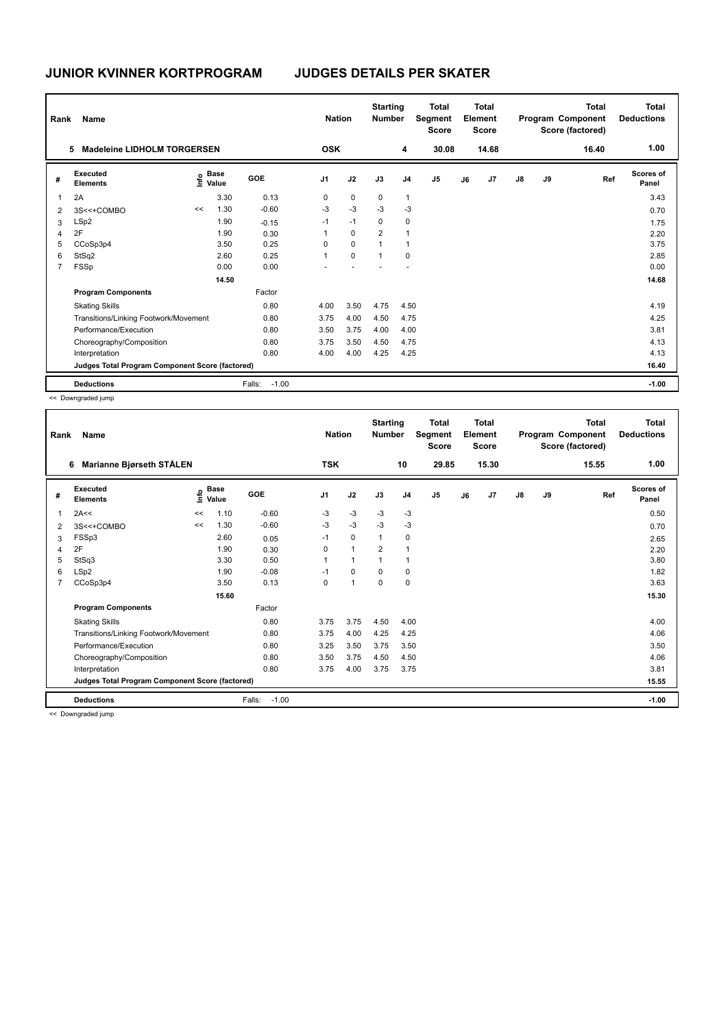| Rank | Name                                            |      |                      |                   | <b>Nation</b>  |             | <b>Starting</b><br><b>Number</b> |                | Total<br>Segment<br><b>Score</b> |    | Total<br>Element<br><b>Score</b> |               |    | Total<br>Program Component<br>Score (factored) | <b>Total</b><br><b>Deductions</b> |
|------|-------------------------------------------------|------|----------------------|-------------------|----------------|-------------|----------------------------------|----------------|----------------------------------|----|----------------------------------|---------------|----|------------------------------------------------|-----------------------------------|
|      | <b>Madeleine LIDHOLM TORGERSEN</b><br>5         |      |                      |                   | <b>OSK</b>     |             |                                  | 4              | 30.08                            |    | 14.68                            |               |    | 16.40                                          | 1.00                              |
| #    | Executed<br><b>Elements</b>                     | lnfo | <b>Base</b><br>Value | GOE               | J <sub>1</sub> | J2          | J3                               | J <sub>4</sub> | J <sub>5</sub>                   | J6 | J <sub>7</sub>                   | $\mathsf{J}8$ | J9 | Ref                                            | Scores of<br>Panel                |
| 1    | 2A                                              |      | 3.30                 | 0.13              | 0              | $\mathbf 0$ | 0                                | $\mathbf{1}$   |                                  |    |                                  |               |    |                                                | 3.43                              |
| 2    | 3S<<+COMBO                                      | <<   | 1.30                 | $-0.60$           | $-3$           | $-3$        | $-3$                             | $-3$           |                                  |    |                                  |               |    |                                                | 0.70                              |
| 3    | LSp2                                            |      | 1.90                 | $-0.15$           | $-1$           | $-1$        | 0                                | 0              |                                  |    |                                  |               |    |                                                | 1.75                              |
| 4    | 2F                                              |      | 1.90                 | 0.30              | 1              | $\mathbf 0$ | $\overline{2}$                   | $\overline{1}$ |                                  |    |                                  |               |    |                                                | 2.20                              |
| 5    | CCoSp3p4                                        |      | 3.50                 | 0.25              | 0              | $\mathbf 0$ | 1                                | $\mathbf 1$    |                                  |    |                                  |               |    |                                                | 3.75                              |
| 6    | StSq2                                           |      | 2.60                 | 0.25              | 1              | $\mathbf 0$ | $\overline{1}$                   | 0              |                                  |    |                                  |               |    |                                                | 2.85                              |
|      | FSSp                                            |      | 0.00                 | 0.00              |                |             |                                  |                |                                  |    |                                  |               |    |                                                | 0.00                              |
|      |                                                 |      | 14.50                |                   |                |             |                                  |                |                                  |    |                                  |               |    |                                                | 14.68                             |
|      | <b>Program Components</b>                       |      |                      | Factor            |                |             |                                  |                |                                  |    |                                  |               |    |                                                |                                   |
|      | <b>Skating Skills</b>                           |      |                      | 0.80              | 4.00           | 3.50        | 4.75                             | 4.50           |                                  |    |                                  |               |    |                                                | 4.19                              |
|      | Transitions/Linking Footwork/Movement           |      |                      | 0.80              | 3.75           | 4.00        | 4.50                             | 4.75           |                                  |    |                                  |               |    |                                                | 4.25                              |
|      | Performance/Execution                           |      |                      | 0.80              | 3.50           | 3.75        | 4.00                             | 4.00           |                                  |    |                                  |               |    |                                                | 3.81                              |
|      | Choreography/Composition                        |      |                      | 0.80              | 3.75           | 3.50        | 4.50                             | 4.75           |                                  |    |                                  |               |    |                                                | 4.13                              |
|      | Interpretation                                  |      |                      | 0.80              | 4.00           | 4.00        | 4.25                             | 4.25           |                                  |    |                                  |               |    |                                                | 4.13                              |
|      | Judges Total Program Component Score (factored) |      |                      |                   |                |             |                                  |                |                                  |    |                                  |               |    |                                                | 16.40                             |
|      | <b>Deductions</b>                               |      |                      | $-1.00$<br>Falls: |                |             |                                  |                |                                  |    |                                  |               |    |                                                | $-1.00$                           |

<< Downgraded jump

| Rank | Name                                            |      | <b>Nation</b>        |                   | <b>Starting</b><br><b>Number</b> |                | <b>Total</b><br>Segment<br><b>Score</b> |                | <b>Total</b><br>Element<br><b>Score</b> |    |       | <b>Total</b><br>Program Component<br>Score (factored) | Total<br><b>Deductions</b> |       |                           |
|------|-------------------------------------------------|------|----------------------|-------------------|----------------------------------|----------------|-----------------------------------------|----------------|-----------------------------------------|----|-------|-------------------------------------------------------|----------------------------|-------|---------------------------|
|      | <b>Marianne Bjørseth STÅLEN</b><br>6            |      |                      |                   | <b>TSK</b>                       |                |                                         | 10             | 29.85                                   |    | 15.30 |                                                       |                            | 15.55 | 1.00                      |
| #    | <b>Executed</b><br><b>Elements</b>              | ١nfo | <b>Base</b><br>Value | GOE               | J <sub>1</sub>                   | J2             | J3                                      | J <sub>4</sub> | J <sub>5</sub>                          | J6 | J7    | $\mathsf{J}8$                                         | J9                         | Ref   | <b>Scores of</b><br>Panel |
| 1    | 2A<<                                            | <<   | 1.10                 | $-0.60$           | -3                               | $-3$           | $-3$                                    | $-3$           |                                         |    |       |                                                       |                            |       | 0.50                      |
| 2    | 3S<<+COMBO                                      | <<   | 1.30                 | $-0.60$           | $-3$                             | $-3$           | $-3$                                    | $-3$           |                                         |    |       |                                                       |                            |       | 0.70                      |
| 3    | FSSp3                                           |      | 2.60                 | 0.05              | $-1$                             | $\mathbf 0$    | $\mathbf{1}$                            | 0              |                                         |    |       |                                                       |                            |       | 2.65                      |
| 4    | 2F                                              |      | 1.90                 | 0.30              | 0                                | $\mathbf{1}$   | $\overline{2}$                          | 1              |                                         |    |       |                                                       |                            |       | 2.20                      |
| 5    | StSq3                                           |      | 3.30                 | 0.50              |                                  | $\overline{1}$ |                                         | $\mathbf{1}$   |                                         |    |       |                                                       |                            |       | 3.80                      |
| 6    | LSp2                                            |      | 1.90                 | $-0.08$           | $-1$                             | $\mathbf 0$    | $\Omega$                                | $\mathbf 0$    |                                         |    |       |                                                       |                            |       | 1.82                      |
| 7    | CCoSp3p4                                        |      | 3.50                 | 0.13              | $\mathbf 0$                      | $\mathbf{1}$   | $\mathbf 0$                             | $\mathbf 0$    |                                         |    |       |                                                       |                            |       | 3.63                      |
|      |                                                 |      | 15.60                |                   |                                  |                |                                         |                |                                         |    |       |                                                       |                            |       | 15.30                     |
|      | <b>Program Components</b>                       |      |                      | Factor            |                                  |                |                                         |                |                                         |    |       |                                                       |                            |       |                           |
|      | <b>Skating Skills</b>                           |      |                      | 0.80              | 3.75                             | 3.75           | 4.50                                    | 4.00           |                                         |    |       |                                                       |                            |       | 4.00                      |
|      | Transitions/Linking Footwork/Movement           |      |                      | 0.80              | 3.75                             | 4.00           | 4.25                                    | 4.25           |                                         |    |       |                                                       |                            |       | 4.06                      |
|      | Performance/Execution                           |      |                      | 0.80              | 3.25                             | 3.50           | 3.75                                    | 3.50           |                                         |    |       |                                                       |                            |       | 3.50                      |
|      | Choreography/Composition                        |      |                      | 0.80              | 3.50                             | 3.75           | 4.50                                    | 4.50           |                                         |    |       |                                                       |                            |       | 4.06                      |
|      | Interpretation                                  |      |                      | 0.80              | 3.75                             | 4.00           | 3.75                                    | 3.75           |                                         |    |       |                                                       |                            |       | 3.81                      |
|      | Judges Total Program Component Score (factored) |      |                      |                   |                                  |                |                                         |                |                                         |    |       |                                                       |                            |       | 15.55                     |
|      | <b>Deductions</b>                               |      |                      | Falls:<br>$-1.00$ |                                  |                |                                         |                |                                         |    |       |                                                       |                            |       | $-1.00$                   |

<< Downgraded jump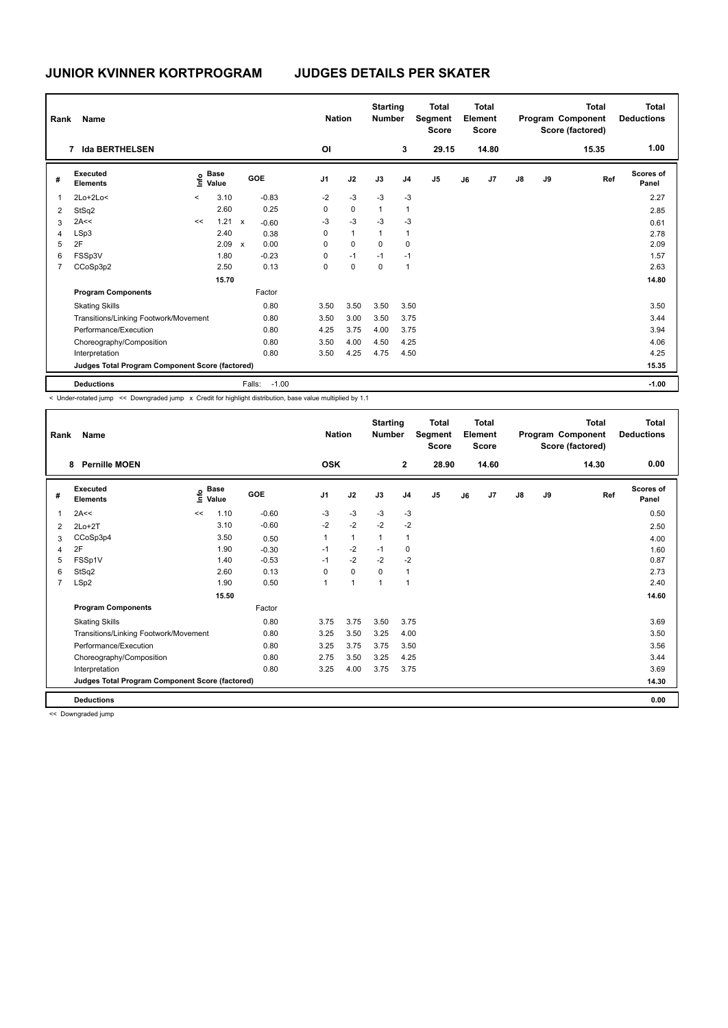# **JUNIOR KVINNER KORTPROGRAM JUDGES DETAILS PER SKATER**

| Rank | <b>Name</b>                                     |         |                      |                           |                   | <b>Nation</b>  |              | <b>Starting</b><br><b>Number</b> |                | <b>Total</b><br>Segment<br><b>Score</b> |    | <b>Total</b><br>Element<br><b>Score</b> |               |    | <b>Total</b><br>Program Component<br>Score (factored) | <b>Total</b><br><b>Deductions</b> |
|------|-------------------------------------------------|---------|----------------------|---------------------------|-------------------|----------------|--------------|----------------------------------|----------------|-----------------------------------------|----|-----------------------------------------|---------------|----|-------------------------------------------------------|-----------------------------------|
|      | <b>Ida BERTHELSEN</b><br>7                      |         |                      |                           |                   | ΟI             |              |                                  | 3              | 29.15                                   |    | 14.80                                   |               |    | 15.35                                                 | 1.00                              |
| #    | Executed<br><b>Elements</b>                     | lnfo    | <b>Base</b><br>Value |                           | GOE               | J <sub>1</sub> | J2           | J3                               | J <sub>4</sub> | J <sub>5</sub>                          | J6 | J7                                      | $\mathsf{J}8$ | J9 | Ref                                                   | Scores of<br>Panel                |
| 1    | $2Lo+2Lo<$                                      | $\,<\,$ | 3.10                 |                           | $-0.83$           | $-2$           | $-3$         | $-3$                             | $-3$           |                                         |    |                                         |               |    |                                                       | 2.27                              |
| 2    | StSq2                                           |         | 2.60                 |                           | 0.25              | 0              | 0            | $\mathbf{1}$                     | $\overline{1}$ |                                         |    |                                         |               |    |                                                       | 2.85                              |
| 3    | 2A<<                                            | <<      | 1.21                 | $\mathsf{x}$              | $-0.60$           | $-3$           | $-3$         | $-3$                             | $-3$           |                                         |    |                                         |               |    |                                                       | 0.61                              |
| 4    | LSp3                                            |         | 2.40                 |                           | 0.38              | 0              | $\mathbf{1}$ | $\overline{1}$                   | $\overline{1}$ |                                         |    |                                         |               |    |                                                       | 2.78                              |
| 5    | 2F                                              |         | 2.09                 | $\boldsymbol{\mathsf{x}}$ | 0.00              | 0              | $\mathbf 0$  | 0                                | 0              |                                         |    |                                         |               |    |                                                       | 2.09                              |
| 6    | FSSp3V                                          |         | 1.80                 |                           | $-0.23$           | 0              | $-1$         | $-1$                             | $-1$           |                                         |    |                                         |               |    |                                                       | 1.57                              |
| 7    | CCoSp3p2                                        |         | 2.50                 |                           | 0.13              | 0              | $\mathbf 0$  | 0                                | $\overline{1}$ |                                         |    |                                         |               |    |                                                       | 2.63                              |
|      |                                                 |         | 15.70                |                           |                   |                |              |                                  |                |                                         |    |                                         |               |    |                                                       | 14.80                             |
|      | <b>Program Components</b>                       |         |                      |                           | Factor            |                |              |                                  |                |                                         |    |                                         |               |    |                                                       |                                   |
|      | <b>Skating Skills</b>                           |         |                      |                           | 0.80              | 3.50           | 3.50         | 3.50                             | 3.50           |                                         |    |                                         |               |    |                                                       | 3.50                              |
|      | Transitions/Linking Footwork/Movement           |         |                      |                           | 0.80              | 3.50           | 3.00         | 3.50                             | 3.75           |                                         |    |                                         |               |    |                                                       | 3.44                              |
|      | Performance/Execution                           |         |                      |                           | 0.80              | 4.25           | 3.75         | 4.00                             | 3.75           |                                         |    |                                         |               |    |                                                       | 3.94                              |
|      | Choreography/Composition                        |         |                      |                           | 0.80              | 3.50           | 4.00         | 4.50                             | 4.25           |                                         |    |                                         |               |    |                                                       | 4.06                              |
|      | Interpretation                                  |         |                      |                           | 0.80              | 3.50           | 4.25         | 4.75                             | 4.50           |                                         |    |                                         |               |    |                                                       | 4.25                              |
|      | Judges Total Program Component Score (factored) |         |                      |                           |                   |                |              |                                  |                |                                         |    |                                         |               |    |                                                       | 15.35                             |
|      | <b>Deductions</b>                               |         |                      |                           | $-1.00$<br>Falls: |                |              |                                  |                |                                         |    |                                         |               |    |                                                       | $-1.00$                           |

< Under-rotated jump << Downgraded jump x Credit for highlight distribution, base value multiplied by 1.1

| Rank | <b>Name</b>                                     |      |                      |         | <b>Nation</b>  |              | <b>Starting</b><br><b>Number</b> |                | <b>Total</b><br>Segment<br><b>Score</b> |    | <b>Total</b><br>Element<br><b>Score</b> |               |    | <b>Total</b><br>Program Component<br>Score (factored) | Total<br><b>Deductions</b> |
|------|-------------------------------------------------|------|----------------------|---------|----------------|--------------|----------------------------------|----------------|-----------------------------------------|----|-----------------------------------------|---------------|----|-------------------------------------------------------|----------------------------|
|      | <b>Pernille MOEN</b><br>8                       |      |                      |         | <b>OSK</b>     |              |                                  | $\mathbf{2}$   | 28.90                                   |    | 14.60                                   |               |    | 14.30                                                 | 0.00                       |
| #    | Executed<br><b>Elements</b>                     | ١nfo | <b>Base</b><br>Value | GOE     | J1             | J2           | J3                               | J <sub>4</sub> | J5                                      | J6 | J7                                      | $\mathsf{J}8$ | J9 | Ref                                                   | <b>Scores of</b><br>Panel  |
| 1    | 2A<<                                            | <<   | 1.10                 | $-0.60$ | -3             | $-3$         | $-3$                             | $-3$           |                                         |    |                                         |               |    |                                                       | 0.50                       |
| 2    | $2Lo+2T$                                        |      | 3.10                 | $-0.60$ | $-2$           | $-2$         | $-2$                             | $-2$           |                                         |    |                                         |               |    |                                                       | 2.50                       |
| 3    | CCoSp3p4                                        |      | 3.50                 | 0.50    | 1              | $\mathbf{1}$ | $\mathbf{1}$                     | $\mathbf{1}$   |                                         |    |                                         |               |    |                                                       | 4.00                       |
| 4    | 2F                                              |      | 1.90                 | $-0.30$ | $-1$           | $-2$         | $-1$                             | 0              |                                         |    |                                         |               |    |                                                       | 1.60                       |
| 5    | FSSp1V                                          |      | 1.40                 | $-0.53$ | $-1$           | $-2$         | $-2$                             | $-2$           |                                         |    |                                         |               |    |                                                       | 0.87                       |
| 6    | StSq2                                           |      | 2.60                 | 0.13    | $\Omega$       | $\mathbf 0$  | $\Omega$                         | 1              |                                         |    |                                         |               |    |                                                       | 2.73                       |
| 7    | LSp2                                            |      | 1.90                 | 0.50    | $\overline{1}$ | $\mathbf{1}$ | $\overline{1}$                   | 1              |                                         |    |                                         |               |    |                                                       | 2.40                       |
|      |                                                 |      | 15.50                |         |                |              |                                  |                |                                         |    |                                         |               |    |                                                       | 14.60                      |
|      | <b>Program Components</b>                       |      |                      | Factor  |                |              |                                  |                |                                         |    |                                         |               |    |                                                       |                            |
|      | <b>Skating Skills</b>                           |      |                      | 0.80    | 3.75           | 3.75         | 3.50                             | 3.75           |                                         |    |                                         |               |    |                                                       | 3.69                       |
|      | Transitions/Linking Footwork/Movement           |      |                      | 0.80    | 3.25           | 3.50         | 3.25                             | 4.00           |                                         |    |                                         |               |    |                                                       | 3.50                       |
|      | Performance/Execution                           |      |                      | 0.80    | 3.25           | 3.75         | 3.75                             | 3.50           |                                         |    |                                         |               |    |                                                       | 3.56                       |
|      | Choreography/Composition                        |      |                      | 0.80    | 2.75           | 3.50         | 3.25                             | 4.25           |                                         |    |                                         |               |    |                                                       | 3.44                       |
|      | Interpretation                                  |      |                      | 0.80    | 3.25           | 4.00         | 3.75                             | 3.75           |                                         |    |                                         |               |    |                                                       | 3.69                       |
|      | Judges Total Program Component Score (factored) |      |                      |         |                |              |                                  |                |                                         |    |                                         |               |    |                                                       | 14.30                      |
|      | <b>Deductions</b>                               |      |                      |         |                |              |                                  |                |                                         |    |                                         |               |    |                                                       | 0.00                       |

<< Downgraded jump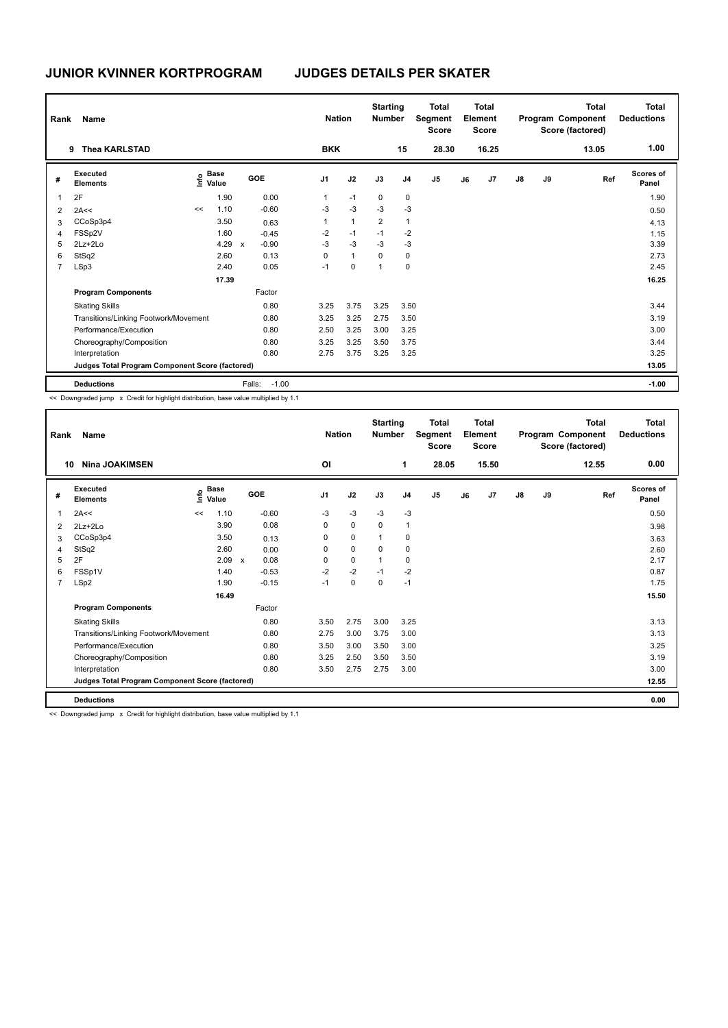| Rank           | <b>Name</b>                                     |    |                                    |                           |         | <b>Nation</b>  |                | <b>Starting</b><br><b>Number</b> |                | <b>Total</b><br>Segment<br><b>Score</b> |    | <b>Total</b><br>Element<br><b>Score</b> |               |    | Total<br>Program Component<br>Score (factored) | <b>Total</b><br><b>Deductions</b> |
|----------------|-------------------------------------------------|----|------------------------------------|---------------------------|---------|----------------|----------------|----------------------------------|----------------|-----------------------------------------|----|-----------------------------------------|---------------|----|------------------------------------------------|-----------------------------------|
|                | <b>Thea KARLSTAD</b><br>9                       |    |                                    |                           |         | <b>BKK</b>     |                |                                  | 15             | 28.30                                   |    | 16.25                                   |               |    | 13.05                                          | 1.00                              |
| #              | Executed<br><b>Elements</b>                     |    | <b>Base</b><br>$\frac{6}{5}$ Value | GOE                       |         | J <sub>1</sub> | J2             | J3                               | J <sub>4</sub> | J <sub>5</sub>                          | J6 | J7                                      | $\mathsf{J}8$ | J9 | Ref                                            | <b>Scores of</b><br>Panel         |
|                | 2F                                              |    | 1.90                               |                           | 0.00    |                | $-1$           | 0                                | 0              |                                         |    |                                         |               |    |                                                | 1.90                              |
| 2              | 2A<<                                            | << | 1.10                               |                           | $-0.60$ | $-3$           | $-3$           | $-3$                             | $-3$           |                                         |    |                                         |               |    |                                                | 0.50                              |
| 3              | CCoSp3p4                                        |    | 3.50                               |                           | 0.63    |                | $\overline{1}$ | $\overline{2}$                   | $\mathbf{1}$   |                                         |    |                                         |               |    |                                                | 4.13                              |
| 4              | FSSp2V                                          |    | 1.60                               |                           | $-0.45$ | $-2$           | $-1$           | $-1$                             | $-2$           |                                         |    |                                         |               |    |                                                | 1.15                              |
| 5              | $2Lz+2Lo$                                       |    | 4.29                               | $\boldsymbol{\mathsf{x}}$ | $-0.90$ | $-3$           | $-3$           | $-3$                             | $-3$           |                                         |    |                                         |               |    |                                                | 3.39                              |
| 6              | StSq2                                           |    | 2.60                               |                           | 0.13    | 0              | $\mathbf{1}$   | 0                                | 0              |                                         |    |                                         |               |    |                                                | 2.73                              |
| $\overline{7}$ | LSp3                                            |    | 2.40                               |                           | 0.05    | $-1$           | 0              | 1                                | 0              |                                         |    |                                         |               |    |                                                | 2.45                              |
|                |                                                 |    | 17.39                              |                           |         |                |                |                                  |                |                                         |    |                                         |               |    |                                                | 16.25                             |
|                | <b>Program Components</b>                       |    |                                    |                           | Factor  |                |                |                                  |                |                                         |    |                                         |               |    |                                                |                                   |
|                | <b>Skating Skills</b>                           |    |                                    |                           | 0.80    | 3.25           | 3.75           | 3.25                             | 3.50           |                                         |    |                                         |               |    |                                                | 3.44                              |
|                | Transitions/Linking Footwork/Movement           |    |                                    |                           | 0.80    | 3.25           | 3.25           | 2.75                             | 3.50           |                                         |    |                                         |               |    |                                                | 3.19                              |
|                | Performance/Execution                           |    |                                    |                           | 0.80    | 2.50           | 3.25           | 3.00                             | 3.25           |                                         |    |                                         |               |    |                                                | 3.00                              |
|                | Choreography/Composition                        |    |                                    |                           | 0.80    | 3.25           | 3.25           | 3.50                             | 3.75           |                                         |    |                                         |               |    |                                                | 3.44                              |
|                | Interpretation                                  |    |                                    |                           | 0.80    | 2.75           | 3.75           | 3.25                             | 3.25           |                                         |    |                                         |               |    |                                                | 3.25                              |
|                | Judges Total Program Component Score (factored) |    |                                    |                           |         |                |                |                                  |                |                                         |    |                                         |               |    |                                                | 13.05                             |
|                | <b>Deductions</b>                               |    |                                    | Falls:                    | $-1.00$ |                |                |                                  |                |                                         |    |                                         |               |    |                                                | $-1.00$                           |

<< Downgraded jump x Credit for highlight distribution, base value multiplied by 1.1

| Rank           | Name                                            |    |                      |              |            |                | <b>Nation</b> |             | <b>Starting</b><br><b>Number</b> |                | <b>Total</b><br>Segment<br><b>Score</b> |    | Total<br>Element<br><b>Score</b> |               |    | Total<br>Program Component<br>Score (factored) | <b>Total</b><br><b>Deductions</b> |
|----------------|-------------------------------------------------|----|----------------------|--------------|------------|----------------|---------------|-------------|----------------------------------|----------------|-----------------------------------------|----|----------------------------------|---------------|----|------------------------------------------------|-----------------------------------|
| 10             | <b>Nina JOAKIMSEN</b>                           |    |                      |              |            | <b>OI</b>      |               |             |                                  | 1              | 28.05                                   |    | 15.50                            |               |    | 12.55                                          | 0.00                              |
| #              | Executed<br><b>Elements</b>                     | ۴٥ | <b>Base</b><br>Value |              | <b>GOE</b> | J <sub>1</sub> |               | J2          | J3                               | J <sub>4</sub> | J <sub>5</sub>                          | J6 | J <sub>7</sub>                   | $\mathsf{J}8$ | J9 | Ref                                            | <b>Scores of</b><br>Panel         |
| 1              | 2A<<                                            | << | 1.10                 |              | $-0.60$    | $-3$           |               | $-3$        | $-3$                             | $-3$           |                                         |    |                                  |               |    |                                                | 0.50                              |
| 2              | 2Lz+2Lo                                         |    | 3.90                 |              | 0.08       | 0              |               | $\mathbf 0$ | $\Omega$                         | $\overline{1}$ |                                         |    |                                  |               |    |                                                | 3.98                              |
| 3              | CCoSp3p4                                        |    | 3.50                 |              | 0.13       | 0              |               | 0           | $\overline{1}$                   | 0              |                                         |    |                                  |               |    |                                                | 3.63                              |
| 4              | StSq2                                           |    | 2.60                 |              | 0.00       | 0              |               | $\mathbf 0$ | $\Omega$                         | 0              |                                         |    |                                  |               |    |                                                | 2.60                              |
| 5              | 2F                                              |    | 2.09                 | $\mathsf{x}$ | 0.08       | 0              |               | $\mathbf 0$ | $\overline{1}$                   | $\Omega$       |                                         |    |                                  |               |    |                                                | 2.17                              |
| 6              | FSSp1V                                          |    | 1.40                 |              | $-0.53$    | $-2$           |               | $-2$        | $-1$                             | $-2$           |                                         |    |                                  |               |    |                                                | 0.87                              |
| $\overline{7}$ | LSp2                                            |    | 1.90                 |              | $-0.15$    | $-1$           |               | 0           | 0                                | $-1$           |                                         |    |                                  |               |    |                                                | 1.75                              |
|                |                                                 |    | 16.49                |              |            |                |               |             |                                  |                |                                         |    |                                  |               |    |                                                | 15.50                             |
|                | <b>Program Components</b>                       |    |                      |              | Factor     |                |               |             |                                  |                |                                         |    |                                  |               |    |                                                |                                   |
|                | <b>Skating Skills</b>                           |    |                      |              | 0.80       | 3.50           |               | 2.75        | 3.00                             | 3.25           |                                         |    |                                  |               |    |                                                | 3.13                              |
|                | Transitions/Linking Footwork/Movement           |    |                      |              | 0.80       | 2.75           |               | 3.00        | 3.75                             | 3.00           |                                         |    |                                  |               |    |                                                | 3.13                              |
|                | Performance/Execution                           |    |                      |              | 0.80       | 3.50           |               | 3.00        | 3.50                             | 3.00           |                                         |    |                                  |               |    |                                                | 3.25                              |
|                | Choreography/Composition                        |    |                      |              | 0.80       | 3.25           |               | 2.50        | 3.50                             | 3.50           |                                         |    |                                  |               |    |                                                | 3.19                              |
|                | Interpretation                                  |    |                      |              | 0.80       | 3.50           |               | 2.75        | 2.75                             | 3.00           |                                         |    |                                  |               |    |                                                | 3.00                              |
|                | Judges Total Program Component Score (factored) |    |                      |              |            |                |               |             |                                  |                |                                         |    |                                  |               |    |                                                | 12.55                             |
|                | <b>Deductions</b>                               |    |                      |              |            |                |               |             |                                  |                |                                         |    |                                  |               |    |                                                | 0.00                              |

<< Downgraded jump x Credit for highlight distribution, base value multiplied by 1.1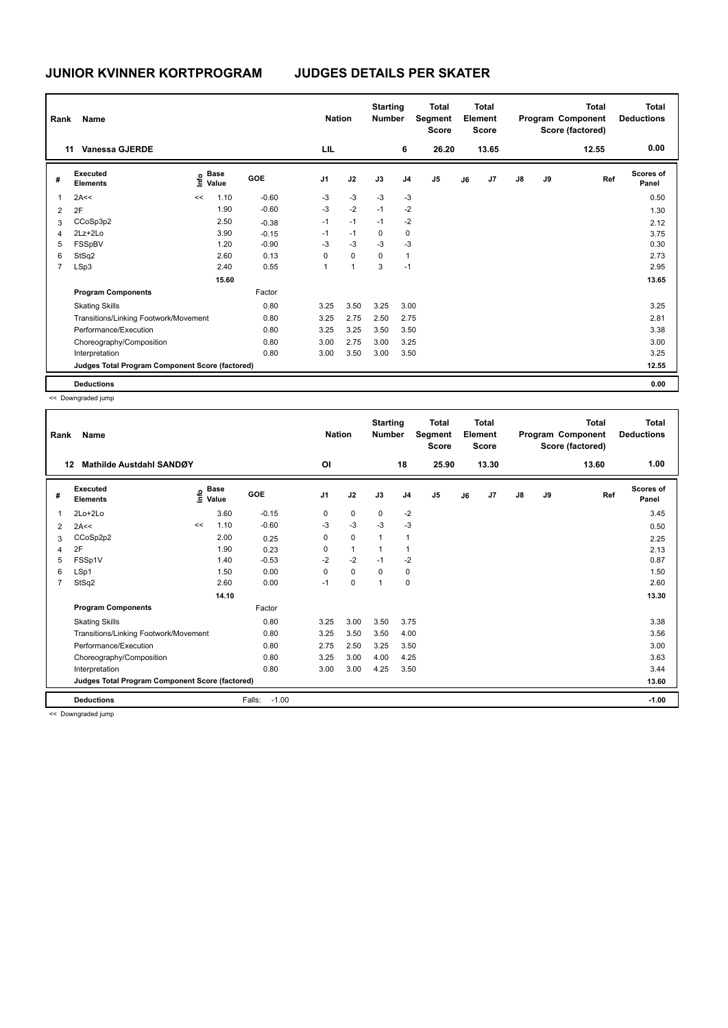| Rank           | <b>Name</b>                                     |      |                      |         | <b>Nation</b>  |                | <b>Starting</b><br><b>Number</b> |                | <b>Total</b><br>Segment<br><b>Score</b> |    | <b>Total</b><br>Element<br><b>Score</b> |               |    | <b>Total</b><br>Program Component<br>Score (factored) | <b>Total</b><br><b>Deductions</b> |
|----------------|-------------------------------------------------|------|----------------------|---------|----------------|----------------|----------------------------------|----------------|-----------------------------------------|----|-----------------------------------------|---------------|----|-------------------------------------------------------|-----------------------------------|
|                | 11<br><b>Vanessa GJERDE</b>                     |      |                      |         | LIL            |                |                                  | 6              | 26.20                                   |    | 13.65                                   |               |    | 12.55                                                 | 0.00                              |
| #              | Executed<br><b>Elements</b>                     | ١nf٥ | <b>Base</b><br>Value | GOE     | J <sub>1</sub> | J2             | J3                               | J <sub>4</sub> | J <sub>5</sub>                          | J6 | J <sub>7</sub>                          | $\mathsf{J}8$ | J9 | Ref                                                   | <b>Scores of</b><br>Panel         |
| 1              | 2A<<                                            | <<   | 1.10                 | $-0.60$ | $-3$           | $-3$           | $-3$                             | $-3$           |                                         |    |                                         |               |    |                                                       | 0.50                              |
| 2              | 2F                                              |      | 1.90                 | $-0.60$ | $-3$           | $-2$           | $-1$                             | $-2$           |                                         |    |                                         |               |    |                                                       | 1.30                              |
| 3              | CCoSp3p2                                        |      | 2.50                 | $-0.38$ | $-1$           | $-1$           | $-1$                             | $-2$           |                                         |    |                                         |               |    |                                                       | 2.12                              |
| 4              | 2Lz+2Lo                                         |      | 3.90                 | $-0.15$ | $-1$           | $-1$           | 0                                | $\mathbf 0$    |                                         |    |                                         |               |    |                                                       | 3.75                              |
| 5              | FSSpBV                                          |      | 1.20                 | $-0.90$ | $-3$           | $-3$           | $-3$                             | $-3$           |                                         |    |                                         |               |    |                                                       | 0.30                              |
| 6              | StSq2                                           |      | 2.60                 | 0.13    | 0              | $\mathbf 0$    | 0                                | $\mathbf{1}$   |                                         |    |                                         |               |    |                                                       | 2.73                              |
| $\overline{7}$ | LSp3                                            |      | 2.40                 | 0.55    | $\overline{1}$ | $\overline{1}$ | 3                                | $-1$           |                                         |    |                                         |               |    |                                                       | 2.95                              |
|                |                                                 |      | 15.60                |         |                |                |                                  |                |                                         |    |                                         |               |    |                                                       | 13.65                             |
|                | <b>Program Components</b>                       |      |                      | Factor  |                |                |                                  |                |                                         |    |                                         |               |    |                                                       |                                   |
|                | <b>Skating Skills</b>                           |      |                      | 0.80    | 3.25           | 3.50           | 3.25                             | 3.00           |                                         |    |                                         |               |    |                                                       | 3.25                              |
|                | Transitions/Linking Footwork/Movement           |      |                      | 0.80    | 3.25           | 2.75           | 2.50                             | 2.75           |                                         |    |                                         |               |    |                                                       | 2.81                              |
|                | Performance/Execution                           |      |                      | 0.80    | 3.25           | 3.25           | 3.50                             | 3.50           |                                         |    |                                         |               |    |                                                       | 3.38                              |
|                | Choreography/Composition                        |      |                      | 0.80    | 3.00           | 2.75           | 3.00                             | 3.25           |                                         |    |                                         |               |    |                                                       | 3.00                              |
|                | Interpretation                                  |      |                      | 0.80    | 3.00           | 3.50           | 3.00                             | 3.50           |                                         |    |                                         |               |    |                                                       | 3.25                              |
|                | Judges Total Program Component Score (factored) |      |                      |         |                |                |                                  |                |                                         |    |                                         |               |    |                                                       | 12.55                             |
|                | <b>Deductions</b>                               |      |                      |         |                |                |                                  |                |                                         |    |                                         |               |    |                                                       | 0.00                              |

<< Downgraded jump

| Rank           | Name                                            |    |                                    |                   | <b>Nation</b>  |              | <b>Starting</b><br><b>Number</b> |                | Total<br>Segment<br><b>Score</b> |    | Total<br>Element<br><b>Score</b> |               |    | Total<br>Program Component<br>Score (factored) | <b>Total</b><br><b>Deductions</b> |
|----------------|-------------------------------------------------|----|------------------------------------|-------------------|----------------|--------------|----------------------------------|----------------|----------------------------------|----|----------------------------------|---------------|----|------------------------------------------------|-----------------------------------|
| 12             | Mathilde Austdahl SANDØY                        |    |                                    |                   | O <sub>l</sub> |              |                                  | 18             | 25.90                            |    | 13.30                            |               |    | 13.60                                          | 1.00                              |
| #              | Executed<br><b>Elements</b>                     |    | <b>Base</b><br>$\frac{6}{5}$ Value | GOE               | J1             | J2           | J3                               | J <sub>4</sub> | J5                               | J6 | J <sub>7</sub>                   | $\mathsf{J}8$ | J9 | Ref                                            | <b>Scores of</b><br>Panel         |
| 1              | $2Lo+2Lo$                                       |    | 3.60                               | $-0.15$           | 0              | $\mathbf 0$  | $\mathbf 0$                      | $-2$           |                                  |    |                                  |               |    |                                                | 3.45                              |
| 2              | 2A<<                                            | << | 1.10                               | $-0.60$           | $-3$           | $-3$         | $-3$                             | $-3$           |                                  |    |                                  |               |    |                                                | 0.50                              |
| 3              | CCoSp2p2                                        |    | 2.00                               | 0.25              | 0              | $\mathbf 0$  | 1                                | 1              |                                  |    |                                  |               |    |                                                | 2.25                              |
| 4              | 2F                                              |    | 1.90                               | 0.23              | $\Omega$       | $\mathbf{1}$ | 1                                | 1              |                                  |    |                                  |               |    |                                                | 2.13                              |
| 5              | FSSp1V                                          |    | 1.40                               | $-0.53$           | $-2$           | $-2$         | $-1$                             | $-2$           |                                  |    |                                  |               |    |                                                | 0.87                              |
| 6              | LSp1                                            |    | 1.50                               | 0.00              | $\Omega$       | $\Omega$     | $\Omega$                         | 0              |                                  |    |                                  |               |    |                                                | 1.50                              |
| $\overline{7}$ | StSq2                                           |    | 2.60                               | 0.00              | $-1$           | $\mathbf 0$  | 1                                | $\mathbf 0$    |                                  |    |                                  |               |    |                                                | 2.60                              |
|                |                                                 |    | 14.10                              |                   |                |              |                                  |                |                                  |    |                                  |               |    |                                                | 13.30                             |
|                | <b>Program Components</b>                       |    |                                    | Factor            |                |              |                                  |                |                                  |    |                                  |               |    |                                                |                                   |
|                | <b>Skating Skills</b>                           |    |                                    | 0.80              | 3.25           | 3.00         | 3.50                             | 3.75           |                                  |    |                                  |               |    |                                                | 3.38                              |
|                | Transitions/Linking Footwork/Movement           |    |                                    | 0.80              | 3.25           | 3.50         | 3.50                             | 4.00           |                                  |    |                                  |               |    |                                                | 3.56                              |
|                | Performance/Execution                           |    |                                    | 0.80              | 2.75           | 2.50         | 3.25                             | 3.50           |                                  |    |                                  |               |    |                                                | 3.00                              |
|                | Choreography/Composition                        |    |                                    | 0.80              | 3.25           | 3.00         | 4.00                             | 4.25           |                                  |    |                                  |               |    |                                                | 3.63                              |
|                | Interpretation                                  |    |                                    | 0.80              | 3.00           | 3.00         | 4.25                             | 3.50           |                                  |    |                                  |               |    |                                                | 3.44                              |
|                | Judges Total Program Component Score (factored) |    |                                    |                   |                |              |                                  |                |                                  |    |                                  |               |    |                                                | 13.60                             |
|                | <b>Deductions</b>                               |    |                                    | $-1.00$<br>Falls: |                |              |                                  |                |                                  |    |                                  |               |    |                                                | $-1.00$                           |

<< Downgraded jump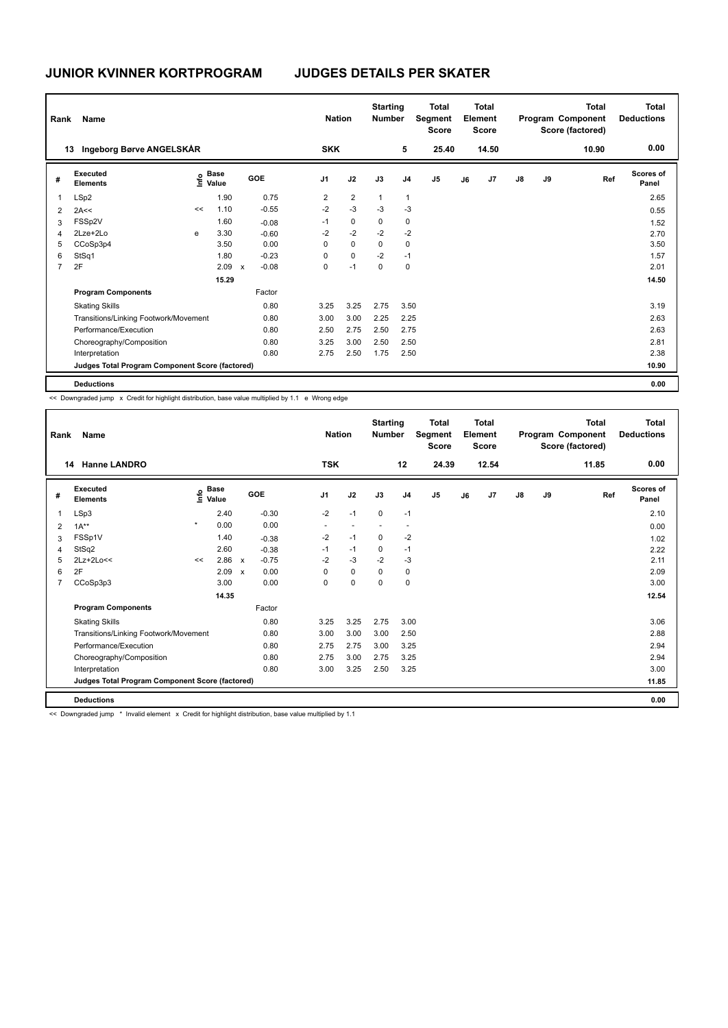| Name<br>Rank   |                                                 |    |                                  |                           |         |  | <b>Nation</b>  |                |              | <b>Starting</b><br><b>Number</b> | <b>Total</b><br>Segment<br><b>Score</b> | <b>Total</b><br>Element<br><b>Score</b> |                |               |    | <b>Total</b><br>Program Component<br>Score (factored) | Total<br><b>Deductions</b> |
|----------------|-------------------------------------------------|----|----------------------------------|---------------------------|---------|--|----------------|----------------|--------------|----------------------------------|-----------------------------------------|-----------------------------------------|----------------|---------------|----|-------------------------------------------------------|----------------------------|
|                | Ingeborg Børve ANGELSKÅR<br>13                  |    |                                  |                           |         |  | <b>SKK</b>     |                |              | 5                                | 25.40                                   |                                         | 14.50          |               |    | 10.90                                                 | 0.00                       |
| #              | Executed<br><b>Elements</b>                     |    | <b>Base</b><br>e Base<br>⊆ Value |                           | GOE     |  | J <sub>1</sub> | J2             | J3           | J <sub>4</sub>                   | J <sub>5</sub>                          | J6                                      | J <sub>7</sub> | $\mathsf{J}8$ | J9 | Ref                                                   | <b>Scores of</b><br>Panel  |
| 1              | LSp2                                            |    | 1.90                             |                           | 0.75    |  | $\overline{2}$ | $\overline{2}$ | $\mathbf{1}$ | 1                                |                                         |                                         |                |               |    |                                                       | 2.65                       |
| 2              | 2A<<                                            | << | 1.10                             |                           | $-0.55$ |  | $-2$           | $-3$           | $-3$         | $-3$                             |                                         |                                         |                |               |    |                                                       | 0.55                       |
| 3              | FSSp2V                                          |    | 1.60                             |                           | $-0.08$ |  | $-1$           | 0              | 0            | 0                                |                                         |                                         |                |               |    |                                                       | 1.52                       |
| 4              | 2Lze+2Lo                                        | e  | 3.30                             |                           | $-0.60$ |  | $-2$           | $-2$           | $-2$         | $-2$                             |                                         |                                         |                |               |    |                                                       | 2.70                       |
| 5              | CCoSp3p4                                        |    | 3.50                             |                           | 0.00    |  | 0              | $\mathbf 0$    | 0            | $\mathbf 0$                      |                                         |                                         |                |               |    |                                                       | 3.50                       |
| 6              | StSq1                                           |    | 1.80                             |                           | $-0.23$ |  | 0              | 0              | $-2$         | $-1$                             |                                         |                                         |                |               |    |                                                       | 1.57                       |
| $\overline{7}$ | 2F                                              |    | 2.09                             | $\boldsymbol{\mathsf{x}}$ | $-0.08$ |  | 0              | $-1$           | 0            | 0                                |                                         |                                         |                |               |    |                                                       | 2.01                       |
|                |                                                 |    | 15.29                            |                           |         |  |                |                |              |                                  |                                         |                                         |                |               |    |                                                       | 14.50                      |
|                | <b>Program Components</b>                       |    |                                  |                           | Factor  |  |                |                |              |                                  |                                         |                                         |                |               |    |                                                       |                            |
|                | <b>Skating Skills</b>                           |    |                                  |                           | 0.80    |  | 3.25           | 3.25           | 2.75         | 3.50                             |                                         |                                         |                |               |    |                                                       | 3.19                       |
|                | Transitions/Linking Footwork/Movement           |    |                                  |                           | 0.80    |  | 3.00           | 3.00           | 2.25         | 2.25                             |                                         |                                         |                |               |    |                                                       | 2.63                       |
|                | Performance/Execution                           |    |                                  |                           | 0.80    |  | 2.50           | 2.75           | 2.50         | 2.75                             |                                         |                                         |                |               |    |                                                       | 2.63                       |
|                | Choreography/Composition                        |    |                                  |                           | 0.80    |  | 3.25           | 3.00           | 2.50         | 2.50                             |                                         |                                         |                |               |    |                                                       | 2.81                       |
|                | Interpretation                                  |    |                                  |                           | 0.80    |  | 2.75           | 2.50           | 1.75         | 2.50                             |                                         |                                         |                |               |    |                                                       | 2.38                       |
|                | Judges Total Program Component Score (factored) |    |                                  |                           |         |  |                |                |              |                                  |                                         |                                         |                |               |    |                                                       | 10.90                      |
|                | <b>Deductions</b>                               |    |                                  |                           |         |  |                |                |              |                                  |                                         |                                         |                |               |    |                                                       | 0.00                       |

<< Downgraded jump x Credit for highlight distribution, base value multiplied by 1.1 e Wrong edge

| Rank           | <b>Name</b>                                     |         | <b>Nation</b>                    |              |         | <b>Total</b><br>Segment<br><b>Score</b> | <b>Total</b><br>Element<br><b>Score</b> |                          |                          |                | <b>Total</b><br>Program Component<br>Score (factored) | <b>Total</b><br><b>Deductions</b> |               |    |       |                           |
|----------------|-------------------------------------------------|---------|----------------------------------|--------------|---------|-----------------------------------------|-----------------------------------------|--------------------------|--------------------------|----------------|-------------------------------------------------------|-----------------------------------|---------------|----|-------|---------------------------|
|                | <b>Hanne LANDRO</b><br>14                       |         |                                  |              |         | <b>TSK</b>                              |                                         |                          | 12                       | 24.39          |                                                       | 12.54                             |               |    | 11.85 | 0.00                      |
| #              | Executed<br><b>Elements</b>                     |         | <b>Base</b><br>e Base<br>⊆ Value |              | GOE     | J <sub>1</sub>                          | J2                                      | J3                       | J <sub>4</sub>           | J <sub>5</sub> | J6                                                    | J7                                | $\mathsf{J}8$ | J9 | Ref   | <b>Scores of</b><br>Panel |
| 1              | LSp3                                            |         | 2.40                             |              | $-0.30$ | $-2$                                    | $-1$                                    | 0                        | $-1$                     |                |                                                       |                                   |               |    |       | 2.10                      |
| 2              | $1A**$                                          | $\star$ | 0.00                             |              | 0.00    | ٠                                       | $\overline{\phantom{a}}$                | $\overline{\phantom{a}}$ | $\overline{\phantom{a}}$ |                |                                                       |                                   |               |    |       | 0.00                      |
| 3              | FSSp1V                                          |         | 1.40                             |              | $-0.38$ | $-2$                                    | $-1$                                    | 0                        | $-2$                     |                |                                                       |                                   |               |    |       | 1.02                      |
| 4              | StSq2                                           |         | 2.60                             |              | $-0.38$ | $-1$                                    | $-1$                                    | 0                        | $-1$                     |                |                                                       |                                   |               |    |       | 2.22                      |
| 5              | $2Lz+2Lo<<$                                     | <<      | 2.86                             | $\mathsf{x}$ | $-0.75$ | $-2$                                    | $-3$                                    | $-2$                     | $-3$                     |                |                                                       |                                   |               |    |       | 2.11                      |
| 6              | 2F                                              |         | 2.09                             | $\mathbf{x}$ | 0.00    | $\Omega$                                | $\Omega$                                | $\Omega$                 | 0                        |                |                                                       |                                   |               |    |       | 2.09                      |
| $\overline{7}$ | CCoSp3p3                                        |         | 3.00                             |              | 0.00    | $\Omega$                                | $\mathbf 0$                             | $\Omega$                 | 0                        |                |                                                       |                                   |               |    |       | 3.00                      |
|                |                                                 |         | 14.35                            |              |         |                                         |                                         |                          |                          |                |                                                       |                                   |               |    |       | 12.54                     |
|                | <b>Program Components</b>                       |         |                                  |              | Factor  |                                         |                                         |                          |                          |                |                                                       |                                   |               |    |       |                           |
|                | <b>Skating Skills</b>                           |         |                                  |              | 0.80    | 3.25                                    | 3.25                                    | 2.75                     | 3.00                     |                |                                                       |                                   |               |    |       | 3.06                      |
|                | Transitions/Linking Footwork/Movement           |         |                                  |              | 0.80    | 3.00                                    | 3.00                                    | 3.00                     | 2.50                     |                |                                                       |                                   |               |    |       | 2.88                      |
|                | Performance/Execution                           |         |                                  |              | 0.80    | 2.75                                    | 2.75                                    | 3.00                     | 3.25                     |                |                                                       |                                   |               |    |       | 2.94                      |
|                | Choreography/Composition                        |         |                                  |              | 0.80    | 2.75                                    | 3.00                                    | 2.75                     | 3.25                     |                |                                                       |                                   |               |    |       | 2.94                      |
|                | Interpretation                                  |         |                                  |              | 0.80    | 3.00                                    | 3.25                                    | 2.50                     | 3.25                     |                |                                                       |                                   |               |    |       | 3.00                      |
|                | Judges Total Program Component Score (factored) |         |                                  |              |         |                                         |                                         |                          |                          |                |                                                       |                                   |               |    |       | 11.85                     |
|                | <b>Deductions</b>                               |         |                                  |              |         |                                         |                                         |                          |                          |                |                                                       |                                   |               |    |       | 0.00                      |

<< Downgraded jump \* Invalid element x Credit for highlight distribution, base value multiplied by 1.1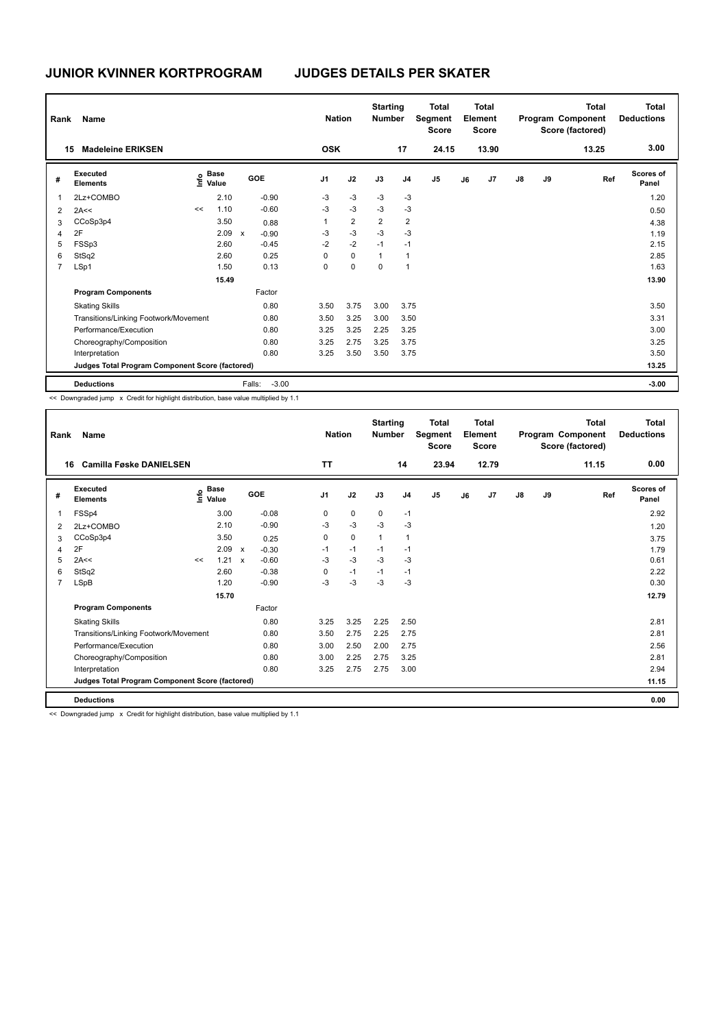| Rank           | <b>Name</b>                                     |    |                                    |              |         | <b>Nation</b>  |                | <b>Starting</b><br><b>Number</b> |                | <b>Total</b><br>Segment<br><b>Score</b> |    | <b>Total</b><br>Element<br>Score |               |    | <b>Total</b><br>Program Component<br>Score (factored) | <b>Total</b><br><b>Deductions</b> |
|----------------|-------------------------------------------------|----|------------------------------------|--------------|---------|----------------|----------------|----------------------------------|----------------|-----------------------------------------|----|----------------------------------|---------------|----|-------------------------------------------------------|-----------------------------------|
| 15             | <b>Madeleine ERIKSEN</b>                        |    |                                    |              |         | <b>OSK</b>     |                |                                  | 17             | 24.15                                   |    | 13.90                            |               |    | 13.25                                                 | 3.00                              |
| #              | Executed<br><b>Elements</b>                     |    | <b>Base</b><br>$\frac{e}{E}$ Value | GOE          |         | J <sub>1</sub> | J2             | J3                               | J <sub>4</sub> | J <sub>5</sub>                          | J6 | J7                               | $\mathsf{J}8$ | J9 | Ref                                                   | Scores of<br>Panel                |
|                | 2Lz+COMBO                                       |    | 2.10                               |              | $-0.90$ | $-3$           | $-3$           | $-3$                             | $-3$           |                                         |    |                                  |               |    |                                                       | 1.20                              |
| 2              | 2A<<                                            | << | 1.10                               |              | $-0.60$ | $-3$           | $-3$           | -3                               | -3             |                                         |    |                                  |               |    |                                                       | 0.50                              |
| 3              | CCoSp3p4                                        |    | 3.50                               |              | 0.88    |                | $\overline{2}$ | $\overline{2}$                   | $\overline{2}$ |                                         |    |                                  |               |    |                                                       | 4.38                              |
| 4              | 2F                                              |    | 2.09                               | $\mathsf{x}$ | $-0.90$ | -3             | $-3$           | $-3$                             | $-3$           |                                         |    |                                  |               |    |                                                       | 1.19                              |
| 5              | FSSp3                                           |    | 2.60                               |              | $-0.45$ | $-2$           | $-2$           | $-1$                             | $-1$           |                                         |    |                                  |               |    |                                                       | 2.15                              |
| 6              | StSq2                                           |    | 2.60                               |              | 0.25    | 0              | $\mathbf 0$    | $\overline{1}$                   | $\overline{1}$ |                                         |    |                                  |               |    |                                                       | 2.85                              |
| $\overline{7}$ | LSp1                                            |    | 1.50                               |              | 0.13    | 0              | $\mathbf 0$    | 0                                | $\overline{1}$ |                                         |    |                                  |               |    |                                                       | 1.63                              |
|                |                                                 |    | 15.49                              |              |         |                |                |                                  |                |                                         |    |                                  |               |    |                                                       | 13.90                             |
|                | <b>Program Components</b>                       |    |                                    |              | Factor  |                |                |                                  |                |                                         |    |                                  |               |    |                                                       |                                   |
|                | <b>Skating Skills</b>                           |    |                                    |              | 0.80    | 3.50           | 3.75           | 3.00                             | 3.75           |                                         |    |                                  |               |    |                                                       | 3.50                              |
|                | Transitions/Linking Footwork/Movement           |    |                                    |              | 0.80    | 3.50           | 3.25           | 3.00                             | 3.50           |                                         |    |                                  |               |    |                                                       | 3.31                              |
|                | Performance/Execution                           |    |                                    |              | 0.80    | 3.25           | 3.25           | 2.25                             | 3.25           |                                         |    |                                  |               |    |                                                       | 3.00                              |
|                | Choreography/Composition                        |    |                                    |              | 0.80    | 3.25           | 2.75           | 3.25                             | 3.75           |                                         |    |                                  |               |    |                                                       | 3.25                              |
|                | Interpretation                                  |    |                                    |              | 0.80    | 3.25           | 3.50           | 3.50                             | 3.75           |                                         |    |                                  |               |    |                                                       | 3.50                              |
|                | Judges Total Program Component Score (factored) |    |                                    |              |         |                |                |                                  |                |                                         |    |                                  |               |    |                                                       | 13.25                             |
|                | <b>Deductions</b>                               |    |                                    | Falls:       | $-3.00$ |                |                |                                  |                |                                         |    |                                  |               |    |                                                       | $-3.00$                           |

<< Downgraded jump x Credit for highlight distribution, base value multiplied by 1.1

| Rank           | Name                                            |    |                                  |              |         |                | <b>Nation</b> | <b>Starting</b><br><b>Number</b> |                | <b>Total</b><br>Segment<br><b>Score</b> |    | <b>Total</b><br>Element<br><b>Score</b> |               |    | <b>Total</b><br>Program Component<br>Score (factored) | <b>Total</b><br><b>Deductions</b> |
|----------------|-------------------------------------------------|----|----------------------------------|--------------|---------|----------------|---------------|----------------------------------|----------------|-----------------------------------------|----|-----------------------------------------|---------------|----|-------------------------------------------------------|-----------------------------------|
| 16             | <b>Camilla Føske DANIELSEN</b>                  |    |                                  |              |         | <b>TT</b>      |               |                                  | 14             | 23.94                                   |    | 12.79                                   |               |    | 11.15                                                 | 0.00                              |
| #              | Executed<br><b>Elements</b>                     |    | <b>Base</b><br>e Base<br>⊆ Value |              | GOE     | J <sub>1</sub> | J2            | J3                               | J <sub>4</sub> | J <sub>5</sub>                          | J6 | J <sub>7</sub>                          | $\mathsf{J}8$ | J9 | Ref                                                   | <b>Scores of</b><br>Panel         |
| 1              | FSSp4                                           |    | 3.00                             |              | $-0.08$ | 0              | $\mathbf 0$   | 0                                | $-1$           |                                         |    |                                         |               |    |                                                       | 2.92                              |
| 2              | 2Lz+COMBO                                       |    | 2.10                             |              | $-0.90$ | $-3$           | $-3$          | $-3$                             | $-3$           |                                         |    |                                         |               |    |                                                       | 1.20                              |
| 3              | CCoSp3p4                                        |    | 3.50                             |              | 0.25    | 0              | $\mathbf 0$   | $\mathbf{1}$                     | $\mathbf{1}$   |                                         |    |                                         |               |    |                                                       | 3.75                              |
| 4              | 2F                                              |    | 2.09                             | $\mathbf{x}$ | $-0.30$ | $-1$           | $-1$          | $-1$                             | $-1$           |                                         |    |                                         |               |    |                                                       | 1.79                              |
| 5              | 2A<<                                            | << | 1.21 x                           |              | $-0.60$ | $-3$           | $-3$          | $-3$                             | $-3$           |                                         |    |                                         |               |    |                                                       | 0.61                              |
| 6              | StSq2                                           |    | 2.60                             |              | $-0.38$ | 0              | $-1$          | $-1$                             | -1             |                                         |    |                                         |               |    |                                                       | 2.22                              |
| $\overline{7}$ | LSpB                                            |    | 1.20                             |              | $-0.90$ | -3             | $-3$          | $-3$                             | $-3$           |                                         |    |                                         |               |    |                                                       | 0.30                              |
|                |                                                 |    | 15.70                            |              |         |                |               |                                  |                |                                         |    |                                         |               |    |                                                       | 12.79                             |
|                | <b>Program Components</b>                       |    |                                  |              | Factor  |                |               |                                  |                |                                         |    |                                         |               |    |                                                       |                                   |
|                | <b>Skating Skills</b>                           |    |                                  |              | 0.80    | 3.25           | 3.25          | 2.25                             | 2.50           |                                         |    |                                         |               |    |                                                       | 2.81                              |
|                | Transitions/Linking Footwork/Movement           |    |                                  |              | 0.80    | 3.50           | 2.75          | 2.25                             | 2.75           |                                         |    |                                         |               |    |                                                       | 2.81                              |
|                | Performance/Execution                           |    |                                  |              | 0.80    | 3.00           | 2.50          | 2.00                             | 2.75           |                                         |    |                                         |               |    |                                                       | 2.56                              |
|                | Choreography/Composition                        |    |                                  |              | 0.80    | 3.00           | 2.25          | 2.75                             | 3.25           |                                         |    |                                         |               |    |                                                       | 2.81                              |
|                | Interpretation                                  |    |                                  |              | 0.80    | 3.25           | 2.75          | 2.75                             | 3.00           |                                         |    |                                         |               |    |                                                       | 2.94                              |
|                | Judges Total Program Component Score (factored) |    |                                  |              |         |                |               |                                  |                |                                         |    |                                         |               |    |                                                       | 11.15                             |
|                | <b>Deductions</b>                               |    |                                  |              |         |                |               |                                  |                |                                         |    |                                         |               |    |                                                       | 0.00                              |

<< Downgraded jump x Credit for highlight distribution, base value multiplied by 1.1